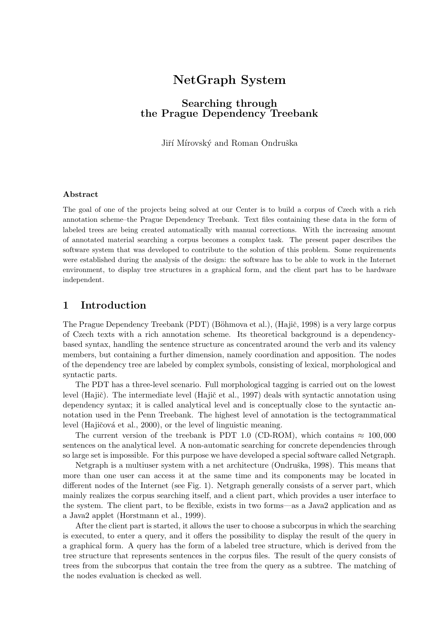# NetGraph System

# Searching through the Prague Dependency Treebank

Jiří Mírovský and Roman Ondruška

#### Abstract

The goal of one of the projects being solved at our Center is to build a corpus of Czech with a rich annotation scheme–the Prague Dependency Treebank. Text files containing these data in the form of labeled trees are being created automatically with manual corrections. With the increasing amount of annotated material searching a corpus becomes a complex task. The present paper describes the software system that was developed to contribute to the solution of this problem. Some requirements were established during the analysis of the design: the software has to be able to work in the Internet environment, to display tree structures in a graphical form, and the client part has to be hardware independent.

## 1 Introduction

The Prague Dependency Treebank (PDT) (Böhmova et al.), (Hajič, 1998) is a very large corpus of Czech texts with a rich annotation scheme. Its theoretical background is a dependencybased syntax, handling the sentence structure as concentrated around the verb and its valency members, but containing a further dimension, namely coordination and apposition. The nodes of the dependency tree are labeled by complex symbols, consisting of lexical, morphological and syntactic parts.

The PDT has a three-level scenario. Full morphological tagging is carried out on the lowest level (Hajič). The intermediate level (Hajič et al., 1997) deals with syntactic annotation using dependency syntax; it is called analytical level and is conceptually close to the syntactic annotation used in the Penn Treebank. The highest level of annotation is the tectogrammatical level (Hajičová et al., 2000), or the level of linguistic meaning.

The current version of the treebank is PDT 1.0 (CD-ROM), which contains  $\approx 100,000$ sentences on the analytical level. A non-automatic searching for concrete dependencies through so large set is impossible. For this purpose we have developed a special software called Netgraph.

Netgraph is a multiuser system with a net architecture (Ondruška, 1998). This means that more than one user can access it at the same time and its components may be located in different nodes of the Internet (see Fig. 1). Netgraph generally consists of a server part, which mainly realizes the corpus searching itself, and a client part, which provides a user interface to the system. The client part, to be flexible, exists in two forms—as a Java2 application and as a Java2 applet (Horstmann et al., 1999).

After the client part is started, it allows the user to choose a subcorpus in which the searching is executed, to enter a query, and it offers the possibility to display the result of the query in a graphical form. A query has the form of a labeled tree structure, which is derived from the tree structure that represents sentences in the corpus files. The result of the query consists of trees from the subcorpus that contain the tree from the query as a subtree. The matching of the nodes evaluation is checked as well.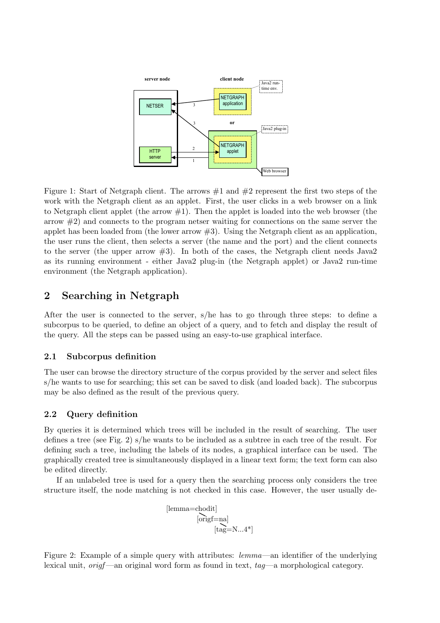

Figure 1: Start of Netgraph client. The arrows  $\#1$  and  $\#2$  represent the first two steps of the work with the Netgraph client as an applet. First, the user clicks in a web browser on a link to Netgraph client applet (the arrow  $\#1$ ). Then the applet is loaded into the web browser (the arrow  $\#2$ ) and connects to the program netser waiting for connections on the same server the applet has been loaded from (the lower arrow  $\#3$ ). Using the Netgraph client as an application, the user runs the client, then selects a server (the name and the port) and the client connects to the server (the upper arrow  $#3$ ). In both of the cases, the Netgraph client needs Java2 as its running environment - either Java2 plug-in (the Netgraph applet) or Java2 run-time environment (the Netgraph application).

# 2 Searching in Netgraph

After the user is connected to the server, s/he has to go through three steps: to define a subcorpus to be queried, to define an object of a query, and to fetch and display the result of the query. All the steps can be passed using an easy-to-use graphical interface.

#### 2.1 Subcorpus definition

The user can browse the directory structure of the corpus provided by the server and select files s/he wants to use for searching; this set can be saved to disk (and loaded back). The subcorpus may be also defined as the result of the previous query.

#### 2.2 Query definition

By queries it is determined which trees will be included in the result of searching. The user defines a tree (see Fig. 2) s/he wants to be included as a subtree in each tree of the result. For defining such a tree, including the labels of its nodes, a graphical interface can be used. The graphically created tree is simultaneously displayed in a linear text form; the text form can also be edited directly.

If an unlabeled tree is used for a query then the searching process only considers the tree structure itself, the node matching is not checked in this case. However, the user usually de-

$$
\begin{array}{c} [\text{lemma=chodit}] \\ \text{[origf=na]} \\ \text{[tag=N...4*]} \end{array}
$$

Figure 2: Example of a simple query with attributes: *lemma*—an identifier of the underlying lexical unit,  $\text{orig}$  —an original word form as found in text,  $taq$ —a morphological category.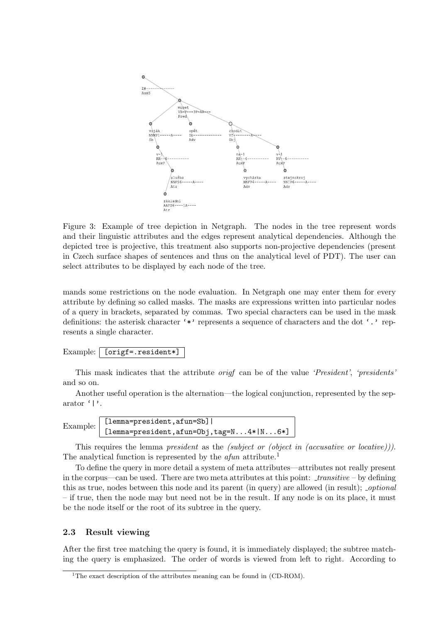

Figure 3: Example of tree depiction in Netgraph. The nodes in the tree represent words and their linguistic attributes and the edges represent analytical dependencies. Although the depicted tree is projective, this treatment also supports non-projective dependencies (present in Czech surface shapes of sentences and thus on the analytical level of PDT). The user can select attributes to be displayed by each node of the tree.

mands some restrictions on the node evaluation. In Netgraph one may enter them for every attribute by defining so called masks. The masks are expressions written into particular nodes of a query in brackets, separated by commas. Two special characters can be used in the mask definitions: the asterisk character '\*' represents a sequence of characters and the dot ',' represents a single character.

### Example: [origf=.resident\*]

This mask indicates that the attribute origf can be of the value 'President', 'presidents' and so on.

Another useful operation is the alternation—the logical conjunction, represented by the separator '|'.

```
Example: [lemma=president,afun=Sb] |
[lemma=president,afun=Obj,tag=N...4*|N...6*]
```
This requires the lemma *president* as the *(subject or (object in (accusative or locative)))*. The analytical function is represented by the  $afun$  attribute.<sup>1</sup>

To define the query in more detail a system of meta attributes—attributes not really present in the corpus—can be used. There are two meta attributes at this point:  $transitive - by defining$ this as true, nodes between this node and its parent (in query) are allowed (in result); *optional* – if true, then the node may but need not be in the result. If any node is on its place, it must be the node itself or the root of its subtree in the query.

#### 2.3 Result viewing

After the first tree matching the query is found, it is immediately displayed; the subtree matching the query is emphasized. The order of words is viewed from left to right. According to

<sup>&</sup>lt;sup>1</sup>The exact description of the attributes meaning can be found in  $(CD-ROM)$ .